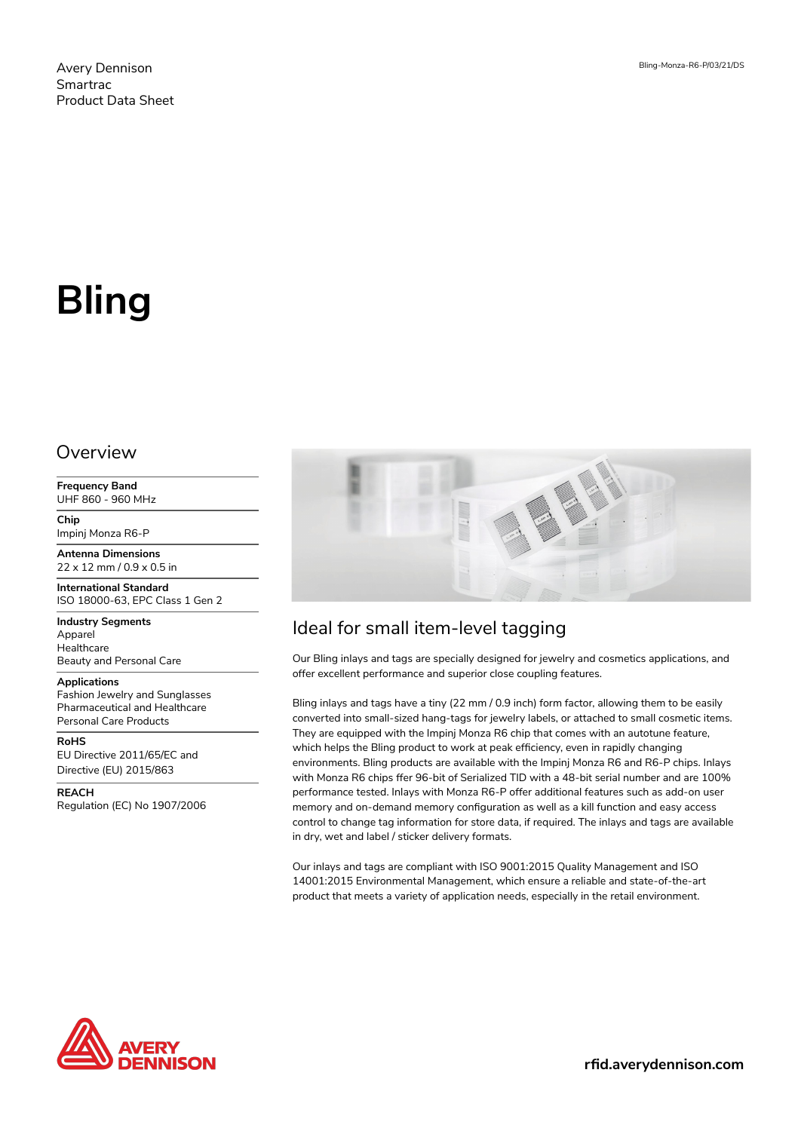# **Bling**

## Overview

**Frequency Band** UHF 860 - 960 MHz

**Chip** Impinj Monza R6-P

**Antenna Dimensions** 22 x 12 mm / 0.9 x 0.5 in

**International Standard** ISO 18000-63, EPC Class 1 Gen 2

**Industry Segments** Apparel Healthcare Beauty and Personal Care

#### **Applications**

Fashion Jewelry and Sunglasses Pharmaceutical and Healthcare Personal Care Products

**RoHS** EU Directive 2011/65/EC and Directive (EU) 2015/863

**REACH** Regulation (EC) No 1907/2006



# Ideal for small item-level tagging

Our Bling inlays and tags are specially designed for jewelry and cosmetics applications, and offer excellent performance and superior close coupling features.

Bling inlays and tags have a tiny (22 mm / 0.9 inch) form factor, allowing them to be easily converted into small-sized hang-tags for jewelry labels, or attached to small cosmetic items. They are equipped with the Impinj Monza R6 chip that comes with an autotune feature, which helps the Bling product to work at peak efficiency, even in rapidly changing environments. Bling products are available with the Impinj Monza R6 and R6-P chips. Inlays with Monza R6 chips ffer 96-bit of Serialized TID with a 48-bit serial number and are 100% performance tested. Inlays with Monza R6-P offer additional features such as add-on user memory and on-demand memory configuration as well as a kill function and easy access control to change tag information for store data, if required. The inlays and tags are available in dry, wet and label / sticker delivery formats.

Our inlays and tags are compliant with ISO 9001:2015 Quality Management and ISO 14001:2015 Environmental Management, which ensure a reliable and state-of-the-art product that meets a variety of application needs, especially in the retail environment.